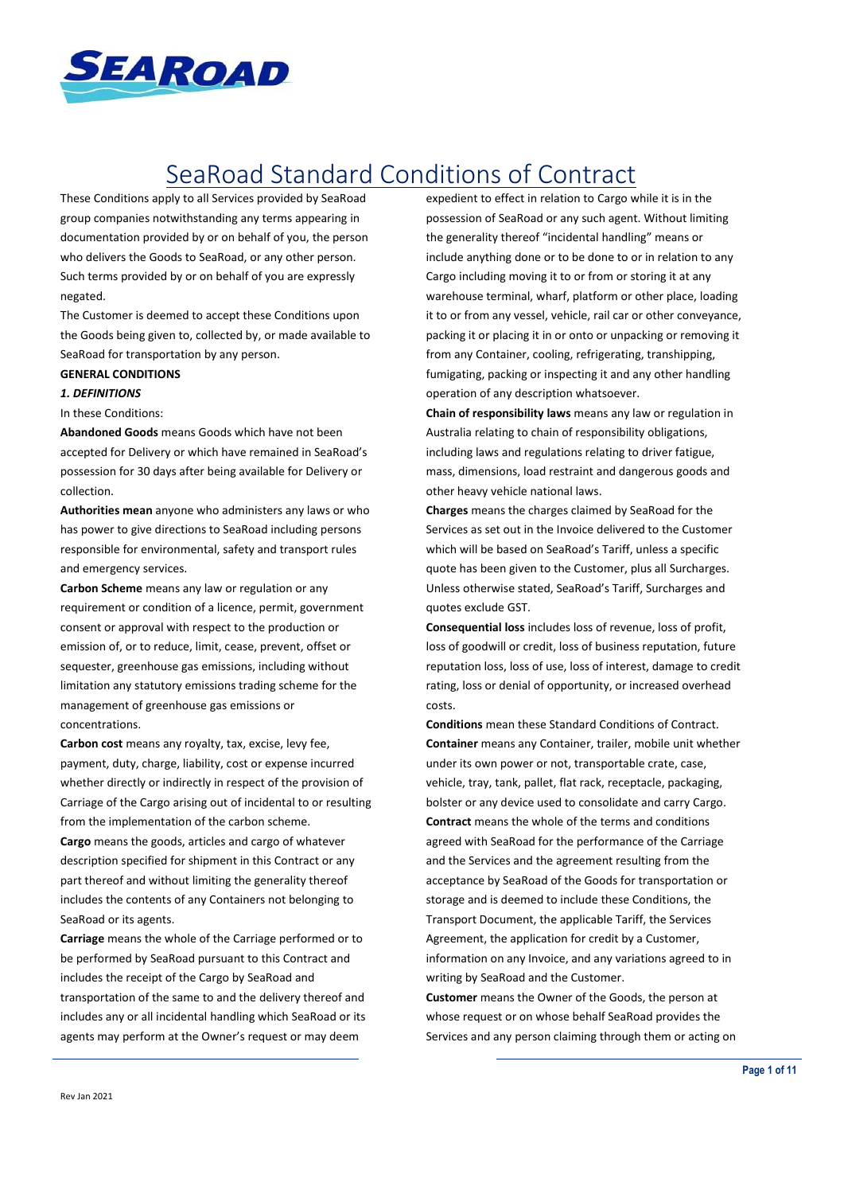

# SeaRoad Standard Conditions of Contract

These Conditions apply to all Services provided by SeaRoad group companies notwithstanding any terms appearing in documentation provided by or on behalf of you, the person who delivers the Goods to SeaRoad, or any other person. Such terms provided by or on behalf of you are expressly negated.

The Customer is deemed to accept these Conditions upon the Goods being given to, collected by, or made available to SeaRoad for transportation by any person.

## **GENERAL CONDITIONS**

## *1. DEFINITIONS*

In these Conditions:

**Abandoned Goods** means Goods which have not been accepted for Delivery or which have remained in SeaRoad's possession for 30 days after being available for Delivery or collection.

**Authorities mean** anyone who administers any laws or who has power to give directions to SeaRoad including persons responsible for environmental, safety and transport rules and emergency services.

**Carbon Scheme** means any law or regulation or any requirement or condition of a licence, permit, government consent or approval with respect to the production or emission of, or to reduce, limit, cease, prevent, offset or sequester, greenhouse gas emissions, including without limitation any statutory emissions trading scheme for the management of greenhouse gas emissions or concentrations.

**Carbon cost** means any royalty, tax, excise, levy fee, payment, duty, charge, liability, cost or expense incurred whether directly or indirectly in respect of the provision of Carriage of the Cargo arising out of incidental to or resulting from the implementation of the carbon scheme.

**Cargo** means the goods, articles and cargo of whatever description specified for shipment in this Contract or any part thereof and without limiting the generality thereof includes the contents of any Containers not belonging to SeaRoad or its agents.

**Carriage** means the whole of the Carriage performed or to be performed by SeaRoad pursuant to this Contract and includes the receipt of the Cargo by SeaRoad and transportation of the same to and the delivery thereof and includes any or all incidental handling which SeaRoad or its agents may perform at the Owner's request or may deem

expedient to effect in relation to Cargo while it is in the possession of SeaRoad or any such agent. Without limiting the generality thereof "incidental handling" means or include anything done or to be done to or in relation to any Cargo including moving it to or from or storing it at any warehouse terminal, wharf, platform or other place, loading it to or from any vessel, vehicle, rail car or other conveyance, packing it or placing it in or onto or unpacking or removing it from any Container, cooling, refrigerating, transhipping, fumigating, packing or inspecting it and any other handling operation of any description whatsoever.

**Chain of responsibility laws** means any law or regulation in Australia relating to chain of responsibility obligations, including laws and regulations relating to driver fatigue, mass, dimensions, load restraint and dangerous goods and other heavy vehicle national laws.

**Charges** means the charges claimed by SeaRoad for the Services as set out in the Invoice delivered to the Customer which will be based on SeaRoad's Tariff, unless a specific quote has been given to the Customer, plus all Surcharges. Unless otherwise stated, SeaRoad's Tariff, Surcharges and quotes exclude GST.

**Consequential loss** includes loss of revenue, loss of profit, loss of goodwill or credit, loss of business reputation, future reputation loss, loss of use, loss of interest, damage to credit rating, loss or denial of opportunity, or increased overhead costs.

**Conditions** mean these Standard Conditions of Contract. **Container** means any Container, trailer, mobile unit whether under its own power or not, transportable crate, case, vehicle, tray, tank, pallet, flat rack, receptacle, packaging, bolster or any device used to consolidate and carry Cargo. **Contract** means the whole of the terms and conditions agreed with SeaRoad for the performance of the Carriage and the Services and the agreement resulting from the acceptance by SeaRoad of the Goods for transportation or storage and is deemed to include these Conditions, the Transport Document, the applicable Tariff, the Services Agreement, the application for credit by a Customer, information on any Invoice, and any variations agreed to in writing by SeaRoad and the Customer.

**Customer** means the Owner of the Goods, the person at whose request or on whose behalf SeaRoad provides the Services and any person claiming through them or acting on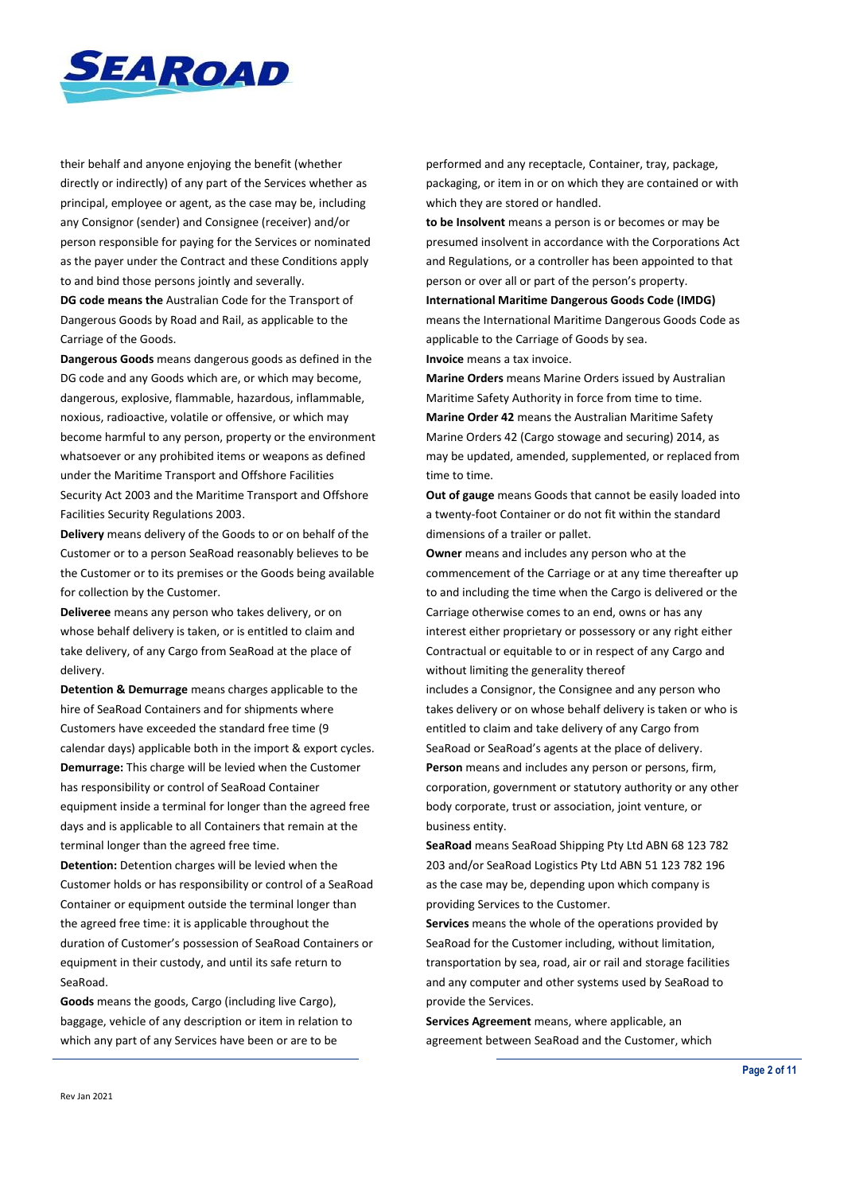

their behalf and anyone enjoying the benefit (whether directly or indirectly) of any part of the Services whether as principal, employee or agent, as the case may be, including any Consignor (sender) and Consignee (receiver) and/or person responsible for paying for the Services or nominated as the payer under the Contract and these Conditions apply to and bind those persons jointly and severally.

**DG code means the** Australian Code for the Transport of Dangerous Goods by Road and Rail, as applicable to the Carriage of the Goods.

**Dangerous Goods** means dangerous goods as defined in the DG code and any Goods which are, or which may become, dangerous, explosive, flammable, hazardous, inflammable, noxious, radioactive, volatile or offensive, or which may become harmful to any person, property or the environment whatsoever or any prohibited items or weapons as defined under the Maritime Transport and Offshore Facilities Security Act 2003 and the Maritime Transport and Offshore Facilities Security Regulations 2003.

**Delivery** means delivery of the Goods to or on behalf of the Customer or to a person SeaRoad reasonably believes to be the Customer or to its premises or the Goods being available for collection by the Customer.

**Deliveree** means any person who takes delivery, or on whose behalf delivery is taken, or is entitled to claim and take delivery, of any Cargo from SeaRoad at the place of delivery.

**Detention & Demurrage** means charges applicable to the hire of SeaRoad Containers and for shipments where Customers have exceeded the standard free time (9 calendar days) applicable both in the import & export cycles. **Demurrage:** This charge will be levied when the Customer has responsibility or control of SeaRoad Container equipment inside a terminal for longer than the agreed free days and is applicable to all Containers that remain at the terminal longer than the agreed free time.

**Detention:** Detention charges will be levied when the Customer holds or has responsibility or control of a SeaRoad Container or equipment outside the terminal longer than the agreed free time: it is applicable throughout the duration of Customer's possession of SeaRoad Containers or equipment in their custody, and until its safe return to SeaRoad.

**Goods** means the goods, Cargo (including live Cargo), baggage, vehicle of any description or item in relation to which any part of any Services have been or are to be

performed and any receptacle, Container, tray, package, packaging, or item in or on which they are contained or with which they are stored or handled.

**to be Insolvent** means a person is or becomes or may be presumed insolvent in accordance with the Corporations Act and Regulations, or a controller has been appointed to that person or over all or part of the person's property.

**International Maritime Dangerous Goods Code (IMDG)** means the International Maritime Dangerous Goods Code as applicable to the Carriage of Goods by sea. **Invoice** means a tax invoice.

**Marine Orders** means Marine Orders issued by Australian Maritime Safety Authority in force from time to time. **Marine Order 42** means the Australian Maritime Safety Marine Orders 42 (Cargo stowage and securing) 2014, as may be updated, amended, supplemented, or replaced from time to time.

**Out of gauge** means Goods that cannot be easily loaded into a twenty-foot Container or do not fit within the standard dimensions of a trailer or pallet.

**Owner** means and includes any person who at the commencement of the Carriage or at any time thereafter up to and including the time when the Cargo is delivered or the Carriage otherwise comes to an end, owns or has any interest either proprietary or possessory or any right either Contractual or equitable to or in respect of any Cargo and without limiting the generality thereof

includes a Consignor, the Consignee and any person who takes delivery or on whose behalf delivery is taken or who is entitled to claim and take delivery of any Cargo from SeaRoad or SeaRoad's agents at the place of delivery. **Person** means and includes any person or persons, firm, corporation, government or statutory authority or any other body corporate, trust or association, joint venture, or business entity.

**SeaRoad** means SeaRoad Shipping Pty Ltd ABN 68 123 782 203 and/or SeaRoad Logistics Pty Ltd ABN 51 123 782 196 as the case may be, depending upon which company is providing Services to the Customer.

**Services** means the whole of the operations provided by SeaRoad for the Customer including, without limitation, transportation by sea, road, air or rail and storage facilities and any computer and other systems used by SeaRoad to provide the Services.

**Services Agreement** means, where applicable, an agreement between SeaRoad and the Customer, which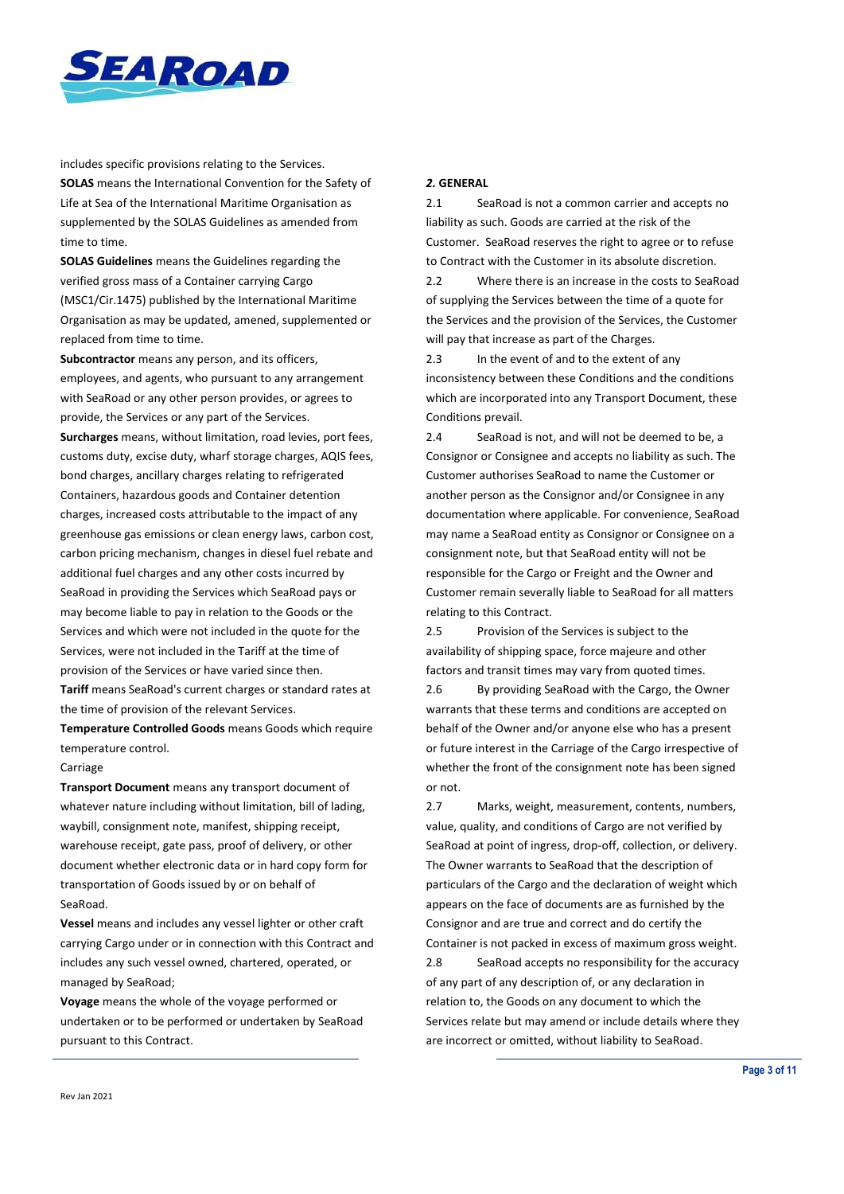

includes specific provisions relating to the Services. **SOLAS** means the International Convention for the Safety of

Life at Sea of the International Maritime Organisation as supplemented by the SOLAS Guidelines as amended from time to time.

**SOLAS Guidelines** means the Guidelines regarding the verified gross mass of a Container carrying Cargo (MSC1/Cir.1475) published by the International Maritime Organisation as may be updated, amened, supplemented or replaced from time to time.

**Subcontractor** means any person, and its officers, employees, and agents, who pursuant to any arrangement with SeaRoad or any other person provides, or agrees to provide, the Services or any part of the Services. **Surcharges** means, without limitation, road levies, port fees, customs duty, excise duty, wharf storage charges, AQIS fees, bond charges, ancillary charges relating to refrigerated Containers, hazardous goods and Container detention charges, increased costs attributable to the impact of any greenhouse gas emissions or clean energy laws, carbon cost, carbon pricing mechanism, changes in diesel fuel rebate and additional fuel charges and any other costs incurred by SeaRoad in providing the Services which SeaRoad pays or may become liable to pay in relation to the Goods or the Services and which were not included in the quote for the Services, were not included in the Tariff at the time of

provision of the Services or have varied since then. **Tariff** means SeaRoad's current charges or standard rates at the time of provision of the relevant Services.

**Temperature Controlled Goods** means Goods which require temperature control.

#### Carriage

**Transport Document** means any transport document of whatever nature including without limitation, bill of lading, waybill, consignment note, manifest, shipping receipt, warehouse receipt, gate pass, proof of delivery, or other document whether electronic data or in hard copy form for transportation of Goods issued by or on behalf of SeaRoad.

**Vessel** means and includes any vessel lighter or other craft carrying Cargo under or in connection with this Contract and includes any such vessel owned, chartered, operated, or managed by SeaRoad;

**Voyage** means the whole of the voyage performed or undertaken or to be performed or undertaken by SeaRoad pursuant to this Contract.

## *2.* **GENERAL**

2.1 SeaRoad is not a common carrier and accepts no liability as such. Goods are carried at the risk of the Customer. SeaRoad reserves the right to agree or to refuse to Contract with the Customer in its absolute discretion.

2.2 Where there is an increase in the costs to SeaRoad of supplying the Services between the time of a quote for the Services and the provision of the Services, the Customer will pay that increase as part of the Charges.

2.3 In the event of and to the extent of any inconsistency between these Conditions and the conditions which are incorporated into any Transport Document, these Conditions prevail.

2.4 SeaRoad is not, and will not be deemed to be, a Consignor or Consignee and accepts no liability as such. The Customer authorises SeaRoad to name the Customer or another person as the Consignor and/or Consignee in any documentation where applicable. For convenience, SeaRoad may name a SeaRoad entity as Consignor or Consignee on a consignment note, but that SeaRoad entity will not be responsible for the Cargo or Freight and the Owner and Customer remain severally liable to SeaRoad for all matters relating to this Contract.

2.5 Provision of the Services is subject to the availability of shipping space, force majeure and other factors and transit times may vary from quoted times.

2.6 By providing SeaRoad with the Cargo, the Owner warrants that these terms and conditions are accepted on behalf of the Owner and/or anyone else who has a present or future interest in the Carriage of the Cargo irrespective of whether the front of the consignment note has been signed or not.

2.7 Marks, weight, measurement, contents, numbers, value, quality, and conditions of Cargo are not verified by SeaRoad at point of ingress, drop-off, collection, or delivery. The Owner warrants to SeaRoad that the description of particulars of the Cargo and the declaration of weight which appears on the face of documents are as furnished by the Consignor and are true and correct and do certify the Container is not packed in excess of maximum gross weight. 2.8 SeaRoad accepts no responsibility for the accuracy of any part of any description of, or any declaration in

relation to, the Goods on any document to which the Services relate but may amend or include details where they are incorrect or omitted, without liability to SeaRoad.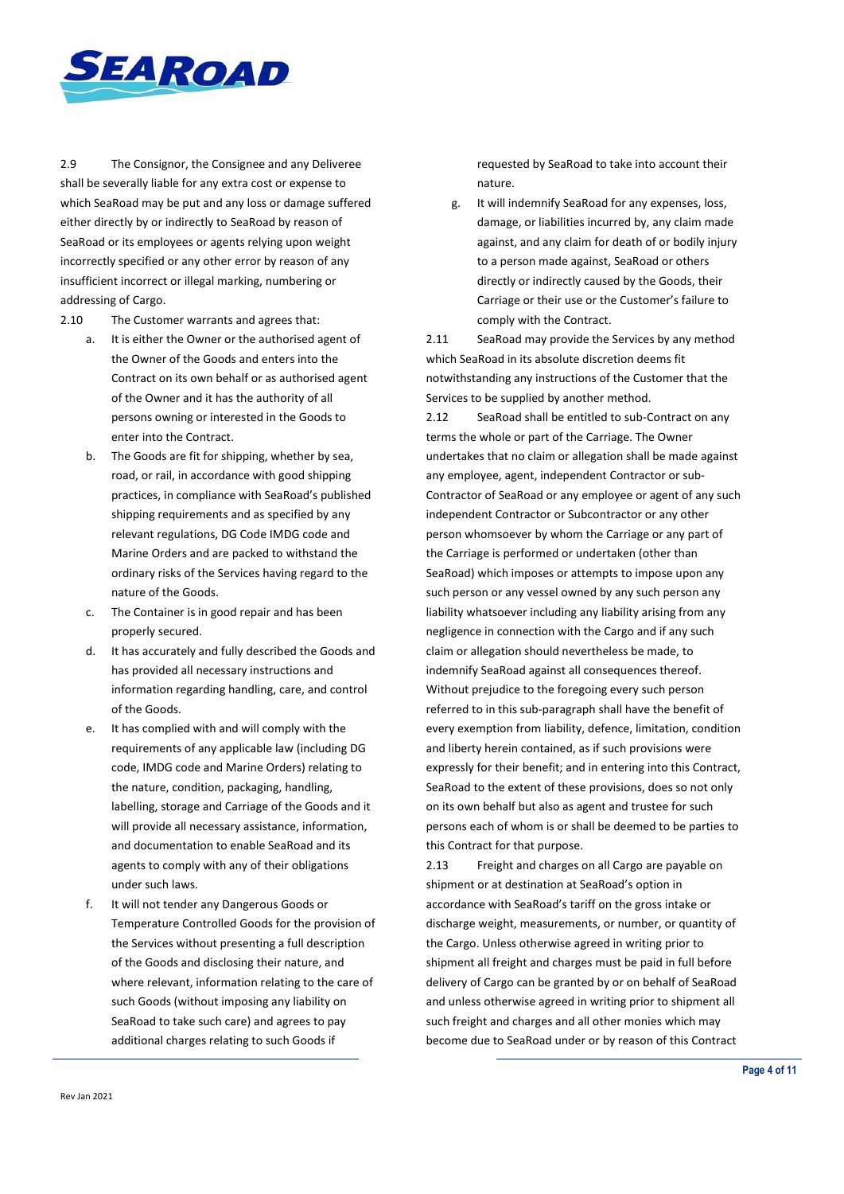

2.9 The Consignor, the Consignee and any Deliveree shall be severally liable for any extra cost or expense to which SeaRoad may be put and any loss or damage suffered either directly by or indirectly to SeaRoad by reason of SeaRoad or its employees or agents relying upon weight incorrectly specified or any other error by reason of any insufficient incorrect or illegal marking, numbering or addressing of Cargo.

2.10 The Customer warrants and agrees that:

- a. It is either the Owner or the authorised agent of the Owner of the Goods and enters into the Contract on its own behalf or as authorised agent of the Owner and it has the authority of all persons owning or interested in the Goods to enter into the Contract.
- b. The Goods are fit for shipping, whether by sea, road, or rail, in accordance with good shipping practices, in compliance with SeaRoad's published shipping requirements and as specified by any relevant regulations, DG Code IMDG code and Marine Orders and are packed to withstand the ordinary risks of the Services having regard to the nature of the Goods.
- c. The Container is in good repair and has been properly secured.
- d. It has accurately and fully described the Goods and has provided all necessary instructions and information regarding handling, care, and control of the Goods.
- e. It has complied with and will comply with the requirements of any applicable law (including DG code, IMDG code and Marine Orders) relating to the nature, condition, packaging, handling, labelling, storage and Carriage of the Goods and it will provide all necessary assistance, information, and documentation to enable SeaRoad and its agents to comply with any of their obligations under such laws.
- f. It will not tender any Dangerous Goods or Temperature Controlled Goods for the provision of the Services without presenting a full description of the Goods and disclosing their nature, and where relevant, information relating to the care of such Goods (without imposing any liability on SeaRoad to take such care) and agrees to pay additional charges relating to such Goods if

requested by SeaRoad to take into account their nature.

g. It will indemnify SeaRoad for any expenses, loss, damage, or liabilities incurred by, any claim made against, and any claim for death of or bodily injury to a person made against, SeaRoad or others directly or indirectly caused by the Goods, their Carriage or their use or the Customer's failure to comply with the Contract.

2.11 SeaRoad may provide the Services by any method which SeaRoad in its absolute discretion deems fit notwithstanding any instructions of the Customer that the Services to be supplied by another method.

2.12 SeaRoad shall be entitled to sub-Contract on any terms the whole or part of the Carriage. The Owner undertakes that no claim or allegation shall be made against any employee, agent, independent Contractor or sub-Contractor of SeaRoad or any employee or agent of any such independent Contractor or Subcontractor or any other person whomsoever by whom the Carriage or any part of the Carriage is performed or undertaken (other than SeaRoad) which imposes or attempts to impose upon any such person or any vessel owned by any such person any liability whatsoever including any liability arising from any negligence in connection with the Cargo and if any such claim or allegation should nevertheless be made, to indemnify SeaRoad against all consequences thereof. Without prejudice to the foregoing every such person referred to in this sub-paragraph shall have the benefit of every exemption from liability, defence, limitation, condition and liberty herein contained, as if such provisions were expressly for their benefit; and in entering into this Contract, SeaRoad to the extent of these provisions, does so not only on its own behalf but also as agent and trustee for such persons each of whom is or shall be deemed to be parties to this Contract for that purpose.

2.13 Freight and charges on all Cargo are payable on shipment or at destination at SeaRoad's option in accordance with SeaRoad's tariff on the gross intake or discharge weight, measurements, or number, or quantity of the Cargo. Unless otherwise agreed in writing prior to shipment all freight and charges must be paid in full before delivery of Cargo can be granted by or on behalf of SeaRoad and unless otherwise agreed in writing prior to shipment all such freight and charges and all other monies which may become due to SeaRoad under or by reason of this Contract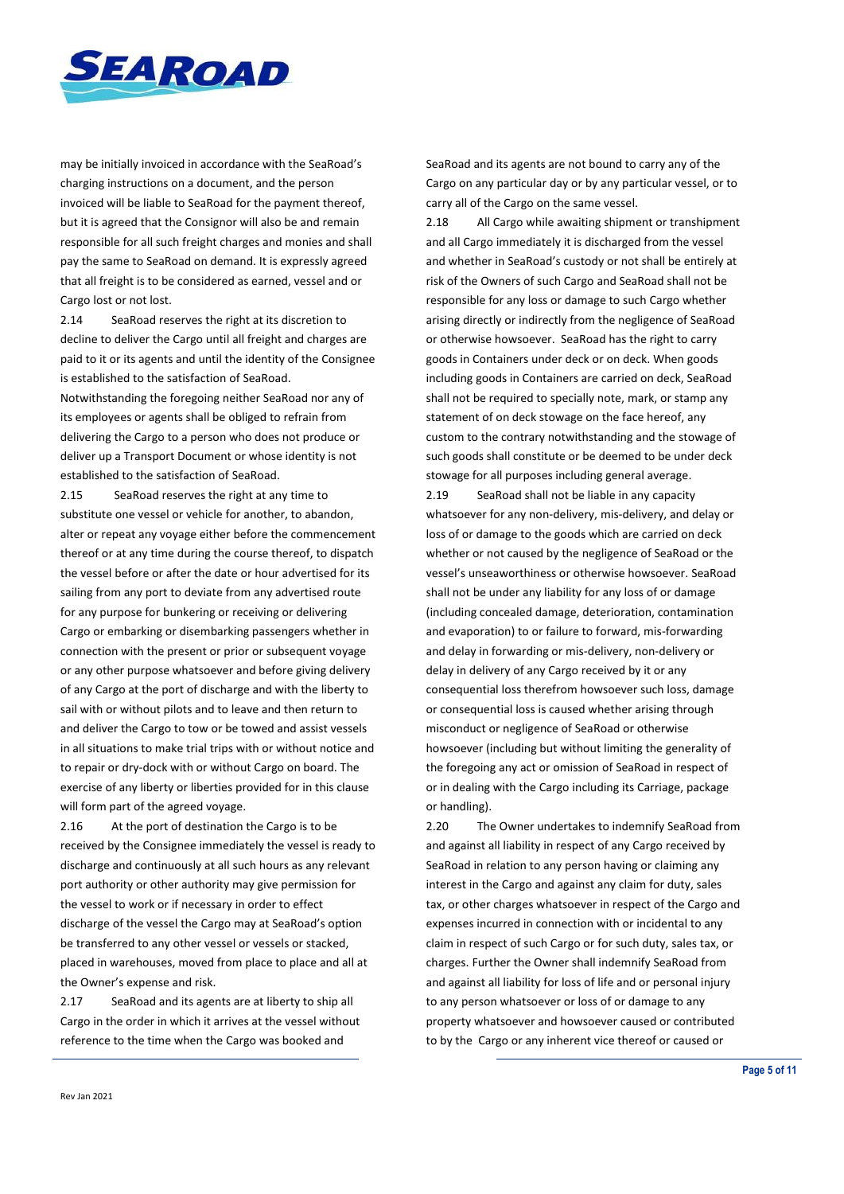

may be initially invoiced in accordance with the SeaRoad's charging instructions on a document, and the person invoiced will be liable to SeaRoad for the payment thereof, but it is agreed that the Consignor will also be and remain responsible for all such freight charges and monies and shall pay the same to SeaRoad on demand. It is expressly agreed that all freight is to be considered as earned, vessel and or Cargo lost or not lost.

2.14 SeaRoad reserves the right at its discretion to decline to deliver the Cargo until all freight and charges are paid to it or its agents and until the identity of the Consignee is established to the satisfaction of SeaRoad.

Notwithstanding the foregoing neither SeaRoad nor any of its employees or agents shall be obliged to refrain from delivering the Cargo to a person who does not produce or deliver up a Transport Document or whose identity is not established to the satisfaction of SeaRoad.

2.15 SeaRoad reserves the right at any time to substitute one vessel or vehicle for another, to abandon, alter or repeat any voyage either before the commencement thereof or at any time during the course thereof, to dispatch the vessel before or after the date or hour advertised for its sailing from any port to deviate from any advertised route for any purpose for bunkering or receiving or delivering Cargo or embarking or disembarking passengers whether in connection with the present or prior or subsequent voyage or any other purpose whatsoever and before giving delivery of any Cargo at the port of discharge and with the liberty to sail with or without pilots and to leave and then return to and deliver the Cargo to tow or be towed and assist vessels in all situations to make trial trips with or without notice and to repair or dry-dock with or without Cargo on board. The exercise of any liberty or liberties provided for in this clause will form part of the agreed voyage.

2.16 At the port of destination the Cargo is to be received by the Consignee immediately the vessel is ready to discharge and continuously at all such hours as any relevant port authority or other authority may give permission for the vessel to work or if necessary in order to effect discharge of the vessel the Cargo may at SeaRoad's option be transferred to any other vessel or vessels or stacked, placed in warehouses, moved from place to place and all at the Owner's expense and risk.

2.17 SeaRoad and its agents are at liberty to ship all Cargo in the order in which it arrives at the vessel without reference to the time when the Cargo was booked and

SeaRoad and its agents are not bound to carry any of the Cargo on any particular day or by any particular vessel, or to carry all of the Cargo on the same vessel.

2.18 All Cargo while awaiting shipment or transhipment and all Cargo immediately it is discharged from the vessel and whether in SeaRoad's custody or not shall be entirely at risk of the Owners of such Cargo and SeaRoad shall not be responsible for any loss or damage to such Cargo whether arising directly or indirectly from the negligence of SeaRoad or otherwise howsoever. SeaRoad has the right to carry goods in Containers under deck or on deck. When goods including goods in Containers are carried on deck, SeaRoad shall not be required to specially note, mark, or stamp any statement of on deck stowage on the face hereof, any custom to the contrary notwithstanding and the stowage of such goods shall constitute or be deemed to be under deck stowage for all purposes including general average.

2.19 SeaRoad shall not be liable in any capacity whatsoever for any non-delivery, mis-delivery, and delay or loss of or damage to the goods which are carried on deck whether or not caused by the negligence of SeaRoad or the vessel's unseaworthiness or otherwise howsoever. SeaRoad shall not be under any liability for any loss of or damage (including concealed damage, deterioration, contamination and evaporation) to or failure to forward, mis-forwarding and delay in forwarding or mis-delivery, non-delivery or delay in delivery of any Cargo received by it or any consequential loss therefrom howsoever such loss, damage or consequential loss is caused whether arising through misconduct or negligence of SeaRoad or otherwise howsoever (including but without limiting the generality of the foregoing any act or omission of SeaRoad in respect of or in dealing with the Cargo including its Carriage, package or handling).

2.20 The Owner undertakes to indemnify SeaRoad from and against all liability in respect of any Cargo received by SeaRoad in relation to any person having or claiming any interest in the Cargo and against any claim for duty, sales tax, or other charges whatsoever in respect of the Cargo and expenses incurred in connection with or incidental to any claim in respect of such Cargo or for such duty, sales tax, or charges. Further the Owner shall indemnify SeaRoad from and against all liability for loss of life and or personal injury to any person whatsoever or loss of or damage to any property whatsoever and howsoever caused or contributed to by the Cargo or any inherent vice thereof or caused or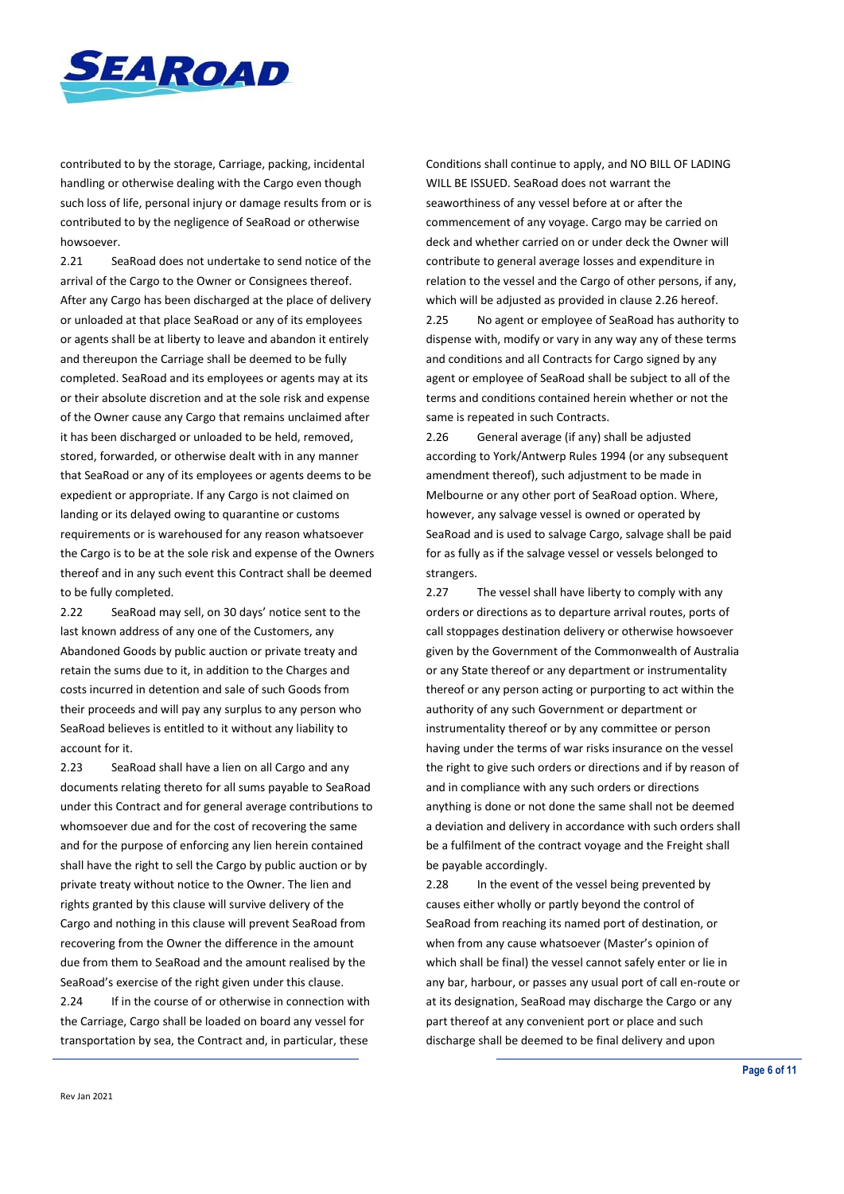

contributed to by the storage, Carriage, packing, incidental handling or otherwise dealing with the Cargo even though such loss of life, personal injury or damage results from or is contributed to by the negligence of SeaRoad or otherwise howsoever.

2.21 SeaRoad does not undertake to send notice of the arrival of the Cargo to the Owner or Consignees thereof. After any Cargo has been discharged at the place of delivery or unloaded at that place SeaRoad or any of its employees or agents shall be at liberty to leave and abandon it entirely and thereupon the Carriage shall be deemed to be fully completed. SeaRoad and its employees or agents may at its or their absolute discretion and at the sole risk and expense of the Owner cause any Cargo that remains unclaimed after it has been discharged or unloaded to be held, removed, stored, forwarded, or otherwise dealt with in any manner that SeaRoad or any of its employees or agents deems to be expedient or appropriate. If any Cargo is not claimed on landing or its delayed owing to quarantine or customs requirements or is warehoused for any reason whatsoever the Cargo is to be at the sole risk and expense of the Owners thereof and in any such event this Contract shall be deemed to be fully completed.

2.22 SeaRoad may sell, on 30 days' notice sent to the last known address of any one of the Customers, any Abandoned Goods by public auction or private treaty and retain the sums due to it, in addition to the Charges and costs incurred in detention and sale of such Goods from their proceeds and will pay any surplus to any person who SeaRoad believes is entitled to it without any liability to account for it.

2.23 SeaRoad shall have a lien on all Cargo and any documents relating thereto for all sums payable to SeaRoad under this Contract and for general average contributions to whomsoever due and for the cost of recovering the same and for the purpose of enforcing any lien herein contained shall have the right to sell the Cargo by public auction or by private treaty without notice to the Owner. The lien and rights granted by this clause will survive delivery of the Cargo and nothing in this clause will prevent SeaRoad from recovering from the Owner the difference in the amount due from them to SeaRoad and the amount realised by the SeaRoad's exercise of the right given under this clause.

2.24 If in the course of or otherwise in connection with the Carriage, Cargo shall be loaded on board any vessel for transportation by sea, the Contract and, in particular, these

Conditions shall continue to apply, and NO BILL OF LADING WILL BE ISSUED. SeaRoad does not warrant the seaworthiness of any vessel before at or after the commencement of any voyage. Cargo may be carried on deck and whether carried on or under deck the Owner will contribute to general average losses and expenditure in relation to the vessel and the Cargo of other persons, if any, which will be adjusted as provided in clause 2.26 hereof. 2.25 No agent or employee of SeaRoad has authority to dispense with, modify or vary in any way any of these terms and conditions and all Contracts for Cargo signed by any agent or employee of SeaRoad shall be subject to all of the terms and conditions contained herein whether or not the same is repeated in such Contracts.

2.26 General average (if any) shall be adjusted according to York/Antwerp Rules 1994 (or any subsequent amendment thereof), such adjustment to be made in Melbourne or any other port of SeaRoad option. Where, however, any salvage vessel is owned or operated by SeaRoad and is used to salvage Cargo, salvage shall be paid for as fully as if the salvage vessel or vessels belonged to strangers.

2.27 The vessel shall have liberty to comply with any orders or directions as to departure arrival routes, ports of call stoppages destination delivery or otherwise howsoever given by the Government of the Commonwealth of Australia or any State thereof or any department or instrumentality thereof or any person acting or purporting to act within the authority of any such Government or department or instrumentality thereof or by any committee or person having under the terms of war risks insurance on the vessel the right to give such orders or directions and if by reason of and in compliance with any such orders or directions anything is done or not done the same shall not be deemed a deviation and delivery in accordance with such orders shall be a fulfilment of the contract voyage and the Freight shall be payable accordingly.

2.28 In the event of the vessel being prevented by causes either wholly or partly beyond the control of SeaRoad from reaching its named port of destination, or when from any cause whatsoever (Master's opinion of which shall be final) the vessel cannot safely enter or lie in any bar, harbour, or passes any usual port of call en-route or at its designation, SeaRoad may discharge the Cargo or any part thereof at any convenient port or place and such discharge shall be deemed to be final delivery and upon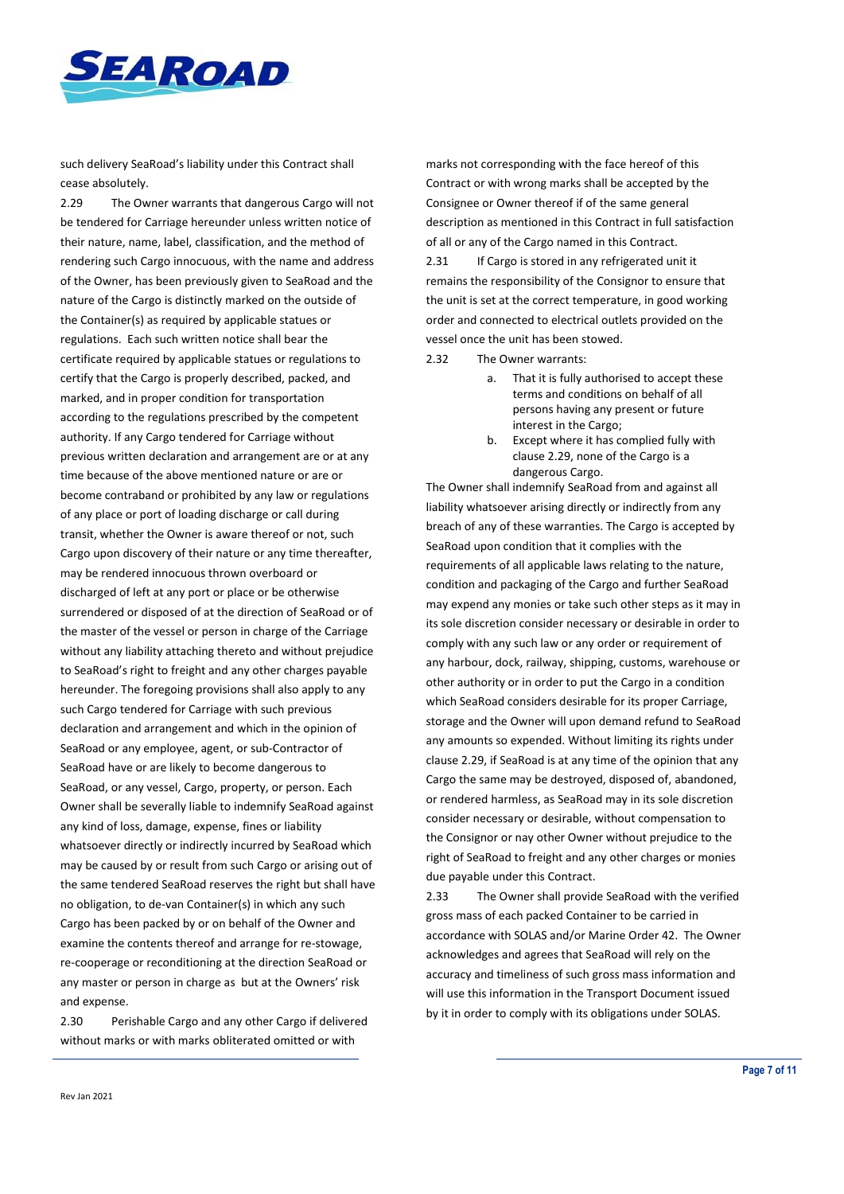

such delivery SeaRoad's liability under this Contract shall cease absolutely.

2.29 The Owner warrants that dangerous Cargo will not be tendered for Carriage hereunder unless written notice of their nature, name, label, classification, and the method of rendering such Cargo innocuous, with the name and address of the Owner, has been previously given to SeaRoad and the nature of the Cargo is distinctly marked on the outside of the Container(s) as required by applicable statues or regulations. Each such written notice shall bear the certificate required by applicable statues or regulations to certify that the Cargo is properly described, packed, and marked, and in proper condition for transportation according to the regulations prescribed by the competent authority. If any Cargo tendered for Carriage without previous written declaration and arrangement are or at any time because of the above mentioned nature or are or become contraband or prohibited by any law or regulations of any place or port of loading discharge or call during transit, whether the Owner is aware thereof or not, such Cargo upon discovery of their nature or any time thereafter, may be rendered innocuous thrown overboard or discharged of left at any port or place or be otherwise surrendered or disposed of at the direction of SeaRoad or of the master of the vessel or person in charge of the Carriage without any liability attaching thereto and without prejudice to SeaRoad's right to freight and any other charges payable hereunder. The foregoing provisions shall also apply to any such Cargo tendered for Carriage with such previous declaration and arrangement and which in the opinion of SeaRoad or any employee, agent, or sub-Contractor of SeaRoad have or are likely to become dangerous to SeaRoad, or any vessel, Cargo, property, or person. Each Owner shall be severally liable to indemnify SeaRoad against any kind of loss, damage, expense, fines or liability whatsoever directly or indirectly incurred by SeaRoad which may be caused by or result from such Cargo or arising out of the same tendered SeaRoad reserves the right but shall have no obligation, to de-van Container(s) in which any such Cargo has been packed by or on behalf of the Owner and examine the contents thereof and arrange for re-stowage, re-cooperage or reconditioning at the direction SeaRoad or any master or person in charge as but at the Owners' risk and expense.

2.30 Perishable Cargo and any other Cargo if delivered without marks or with marks obliterated omitted or with

marks not corresponding with the face hereof of this Contract or with wrong marks shall be accepted by the Consignee or Owner thereof if of the same general description as mentioned in this Contract in full satisfaction of all or any of the Cargo named in this Contract.

2.31 If Cargo is stored in any refrigerated unit it remains the responsibility of the Consignor to ensure that the unit is set at the correct temperature, in good working order and connected to electrical outlets provided on the vessel once the unit has been stowed.

- 2.32 The Owner warrants:
	- a. That it is fully authorised to accept these terms and conditions on behalf of all persons having any present or future interest in the Cargo;
	- b. Except where it has complied fully with clause 2.29, none of the Cargo is a dangerous Cargo.

The Owner shall indemnify SeaRoad from and against all liability whatsoever arising directly or indirectly from any breach of any of these warranties. The Cargo is accepted by SeaRoad upon condition that it complies with the requirements of all applicable laws relating to the nature, condition and packaging of the Cargo and further SeaRoad may expend any monies or take such other steps as it may in its sole discretion consider necessary or desirable in order to comply with any such law or any order or requirement of any harbour, dock, railway, shipping, customs, warehouse or other authority or in order to put the Cargo in a condition which SeaRoad considers desirable for its proper Carriage, storage and the Owner will upon demand refund to SeaRoad any amounts so expended. Without limiting its rights under clause 2.29, if SeaRoad is at any time of the opinion that any Cargo the same may be destroyed, disposed of, abandoned, or rendered harmless, as SeaRoad may in its sole discretion consider necessary or desirable, without compensation to the Consignor or nay other Owner without prejudice to the right of SeaRoad to freight and any other charges or monies due payable under this Contract.

2.33 The Owner shall provide SeaRoad with the verified gross mass of each packed Container to be carried in accordance with SOLAS and/or Marine Order 42. The Owner acknowledges and agrees that SeaRoad will rely on the accuracy and timeliness of such gross mass information and will use this information in the Transport Document issued by it in order to comply with its obligations under SOLAS.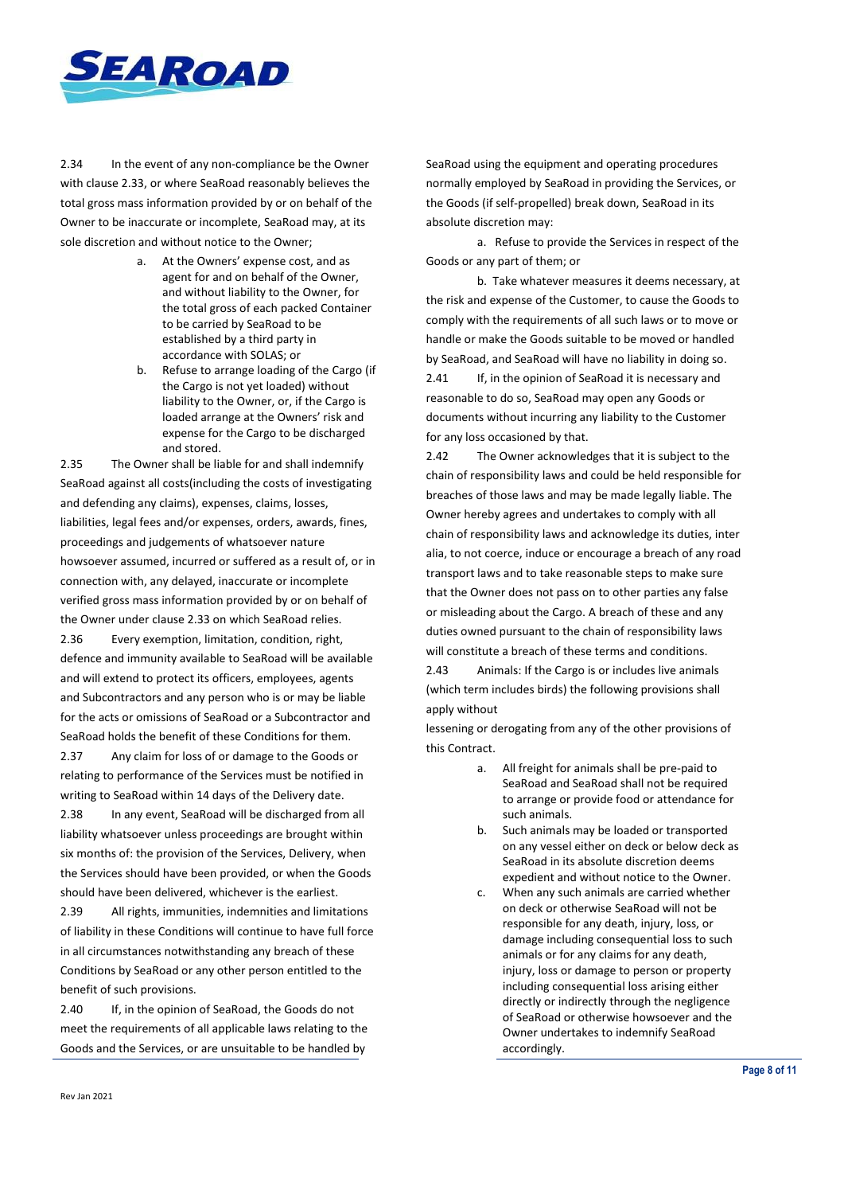

2.34 In the event of any non-compliance be the Owner with clause 2.33, or where SeaRoad reasonably believes the total gross mass information provided by or on behalf of the Owner to be inaccurate or incomplete, SeaRoad may, at its sole discretion and without notice to the Owner;

- a. At the Owners' expense cost, and as agent for and on behalf of the Owner, and without liability to the Owner, for the total gross of each packed Container to be carried by SeaRoad to be established by a third party in accordance with SOLAS; or
- b. Refuse to arrange loading of the Cargo (if the Cargo is not yet loaded) without liability to the Owner, or, if the Cargo is loaded arrange at the Owners' risk and expense for the Cargo to be discharged and stored.

2.35 The Owner shall be liable for and shall indemnify SeaRoad against all costs(including the costs of investigating and defending any claims), expenses, claims, losses, liabilities, legal fees and/or expenses, orders, awards, fines, proceedings and judgements of whatsoever nature howsoever assumed, incurred or suffered as a result of, or in connection with, any delayed, inaccurate or incomplete verified gross mass information provided by or on behalf of the Owner under clause 2.33 on which SeaRoad relies.

2.36 Every exemption, limitation, condition, right, defence and immunity available to SeaRoad will be available and will extend to protect its officers, employees, agents and Subcontractors and any person who is or may be liable for the acts or omissions of SeaRoad or a Subcontractor and SeaRoad holds the benefit of these Conditions for them.

2.37 Any claim for loss of or damage to the Goods or relating to performance of the Services must be notified in writing to SeaRoad within 14 days of the Delivery date.

2.38 In any event, SeaRoad will be discharged from all liability whatsoever unless proceedings are brought within six months of: the provision of the Services, Delivery, when the Services should have been provided, or when the Goods should have been delivered, whichever is the earliest.

2.39 All rights, immunities, indemnities and limitations of liability in these Conditions will continue to have full force in all circumstances notwithstanding any breach of these Conditions by SeaRoad or any other person entitled to the benefit of such provisions.

2.40 If, in the opinion of SeaRoad, the Goods do not meet the requirements of all applicable laws relating to the Goods and the Services, or are unsuitable to be handled by

SeaRoad using the equipment and operating procedures normally employed by SeaRoad in providing the Services, or the Goods (if self-propelled) break down, SeaRoad in its absolute discretion may:

a. Refuse to provide the Services in respect of the Goods or any part of them; or

b. Take whatever measures it deems necessary, at the risk and expense of the Customer, to cause the Goods to comply with the requirements of all such laws or to move or handle or make the Goods suitable to be moved or handled by SeaRoad, and SeaRoad will have no liability in doing so.

2.41 If, in the opinion of SeaRoad it is necessary and reasonable to do so, SeaRoad may open any Goods or documents without incurring any liability to the Customer for any loss occasioned by that.

2.42 The Owner acknowledges that it is subject to the chain of responsibility laws and could be held responsible for breaches of those laws and may be made legally liable. The Owner hereby agrees and undertakes to comply with all chain of responsibility laws and acknowledge its duties, inter alia, to not coerce, induce or encourage a breach of any road transport laws and to take reasonable steps to make sure that the Owner does not pass on to other parties any false or misleading about the Cargo. A breach of these and any duties owned pursuant to the chain of responsibility laws will constitute a breach of these terms and conditions.

2.43 Animals: If the Cargo is or includes live animals (which term includes birds) the following provisions shall apply without

lessening or derogating from any of the other provisions of this Contract.

- a. All freight for animals shall be pre-paid to SeaRoad and SeaRoad shall not be required to arrange or provide food or attendance for such animals.
- b. Such animals may be loaded or transported on any vessel either on deck or below deck as SeaRoad in its absolute discretion deems expedient and without notice to the Owner.
- c. When any such animals are carried whether on deck or otherwise SeaRoad will not be responsible for any death, injury, loss, or damage including consequential loss to such animals or for any claims for any death, injury, loss or damage to person or property including consequential loss arising either directly or indirectly through the negligence of SeaRoad or otherwise howsoever and the Owner undertakes to indemnify SeaRoad accordingly.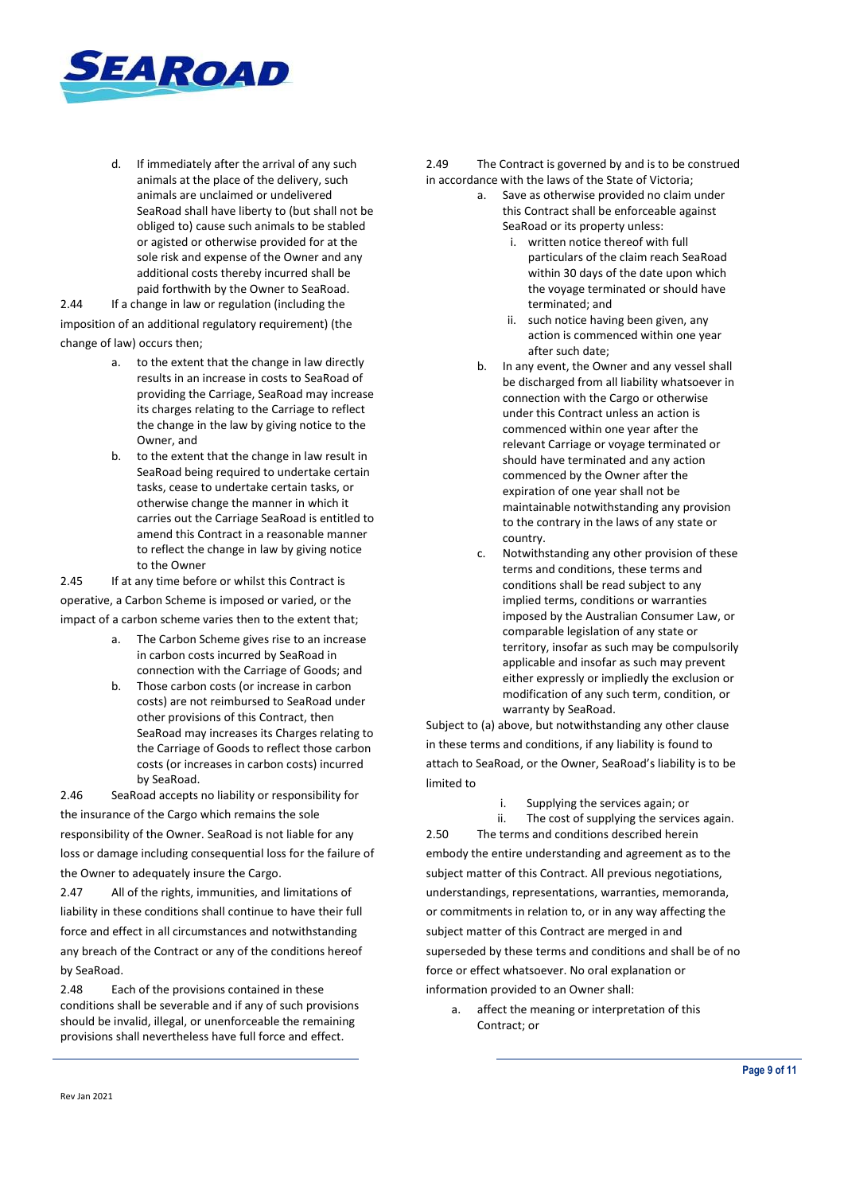

d. If immediately after the arrival of any such animals at the place of the delivery, such animals are unclaimed or undelivered SeaRoad shall have liberty to (but shall not be obliged to) cause such animals to be stabled or agisted or otherwise provided for at the sole risk and expense of the Owner and any additional costs thereby incurred shall be paid forthwith by the Owner to SeaRoad.

2.44 If a change in law or regulation (including the imposition of an additional regulatory requirement) (the change of law) occurs then;

- a. to the extent that the change in law directly results in an increase in costs to SeaRoad of providing the Carriage, SeaRoad may increase its charges relating to the Carriage to reflect the change in the law by giving notice to the Owner, and
- b. to the extent that the change in law result in SeaRoad being required to undertake certain tasks, cease to undertake certain tasks, or otherwise change the manner in which it carries out the Carriage SeaRoad is entitled to amend this Contract in a reasonable manner to reflect the change in law by giving notice to the Owner

2.45 If at any time before or whilst this Contract is operative, a Carbon Scheme is imposed or varied, or the

impact of a carbon scheme varies then to the extent that;

- a. The Carbon Scheme gives rise to an increase in carbon costs incurred by SeaRoad in connection with the Carriage of Goods; and
- b. Those carbon costs (or increase in carbon costs) are not reimbursed to SeaRoad under other provisions of this Contract, then SeaRoad may increases its Charges relating to the Carriage of Goods to reflect those carbon costs (or increases in carbon costs) incurred by SeaRoad.

2.46 SeaRoad accepts no liability or responsibility for the insurance of the Cargo which remains the sole responsibility of the Owner. SeaRoad is not liable for any loss or damage including consequential loss for the failure of the Owner to adequately insure the Cargo.

2.47 All of the rights, immunities, and limitations of liability in these conditions shall continue to have their full force and effect in all circumstances and notwithstanding any breach of the Contract or any of the conditions hereof by SeaRoad.

2.48 Each of the provisions contained in these conditions shall be severable and if any of such provisions should be invalid, illegal, or unenforceable the remaining provisions shall nevertheless have full force and effect.

2.49 The Contract is governed by and is to be construed in accordance with the laws of the State of Victoria;

- a. Save as otherwise provided no claim under this Contract shall be enforceable against SeaRoad or its property unless:
	- i. written notice thereof with full particulars of the claim reach SeaRoad within 30 days of the date upon which the voyage terminated or should have terminated; and
	- ii. such notice having been given, any action is commenced within one year after such date;
- b. In any event, the Owner and any vessel shall be discharged from all liability whatsoever in connection with the Cargo or otherwise under this Contract unless an action is commenced within one year after the relevant Carriage or voyage terminated or should have terminated and any action commenced by the Owner after the expiration of one year shall not be maintainable notwithstanding any provision to the contrary in the laws of any state or country.
- c. Notwithstanding any other provision of these terms and conditions, these terms and conditions shall be read subject to any implied terms, conditions or warranties imposed by the Australian Consumer Law, or comparable legislation of any state or territory, insofar as such may be compulsorily applicable and insofar as such may prevent either expressly or impliedly the exclusion or modification of any such term, condition, or warranty by SeaRoad.

Subject to (a) above, but notwithstanding any other clause in these terms and conditions, if any liability is found to attach to SeaRoad, or the Owner, SeaRoad's liability is to be limited to

- i. Supplying the services again; or
- 

ii. The cost of supplying the services again. 2.50 The terms and conditions described herein

embody the entire understanding and agreement as to the subject matter of this Contract. All previous negotiations, understandings, representations, warranties, memoranda, or commitments in relation to, or in any way affecting the subject matter of this Contract are merged in and superseded by these terms and conditions and shall be of no force or effect whatsoever. No oral explanation or information provided to an Owner shall:

a. affect the meaning or interpretation of this Contract; or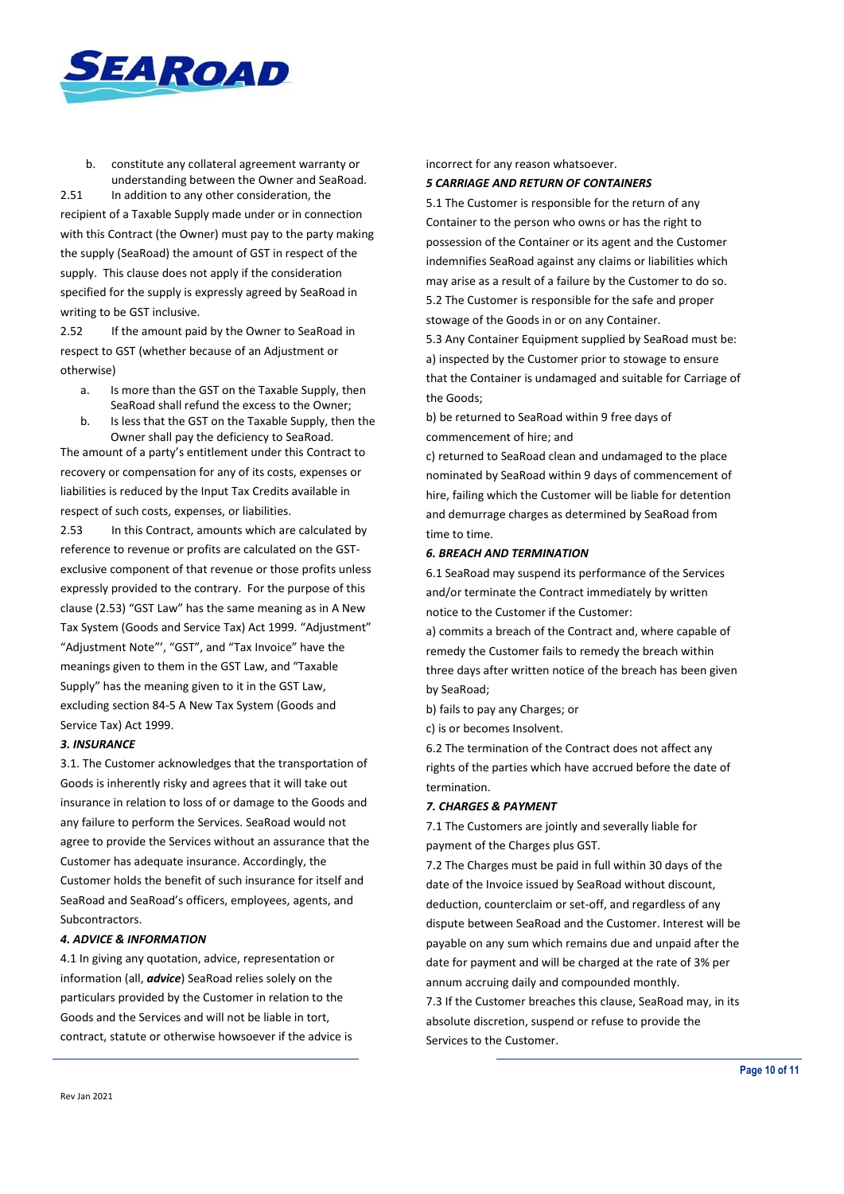

b. constitute any collateral agreement warranty or understanding between the Owner and SeaRoad.

2.51 In addition to any other consideration, the recipient of a Taxable Supply made under or in connection with this Contract (the Owner) must pay to the party making the supply (SeaRoad) the amount of GST in respect of the supply. This clause does not apply if the consideration specified for the supply is expressly agreed by SeaRoad in writing to be GST inclusive.

2.52 If the amount paid by the Owner to SeaRoad in respect to GST (whether because of an Adjustment or otherwise)

- a. Is more than the GST on the Taxable Supply, then SeaRoad shall refund the excess to the Owner;
- b. Is less that the GST on the Taxable Supply, then the Owner shall pay the deficiency to SeaRoad.

The amount of a party's entitlement under this Contract to recovery or compensation for any of its costs, expenses or liabilities is reduced by the Input Tax Credits available in respect of such costs, expenses, or liabilities.

2.53 In this Contract, amounts which are calculated by reference to revenue or profits are calculated on the GSTexclusive component of that revenue or those profits unless expressly provided to the contrary. For the purpose of this clause (2.53) "GST Law" has the same meaning as in A New Tax System (Goods and Service Tax) Act 1999. "Adjustment" "Adjustment Note"', "GST", and "Tax Invoice" have the meanings given to them in the GST Law, and "Taxable Supply" has the meaning given to it in the GST Law, excluding section 84-5 A New Tax System (Goods and Service Tax) Act 1999.

#### *3. INSURANCE*

3.1. The Customer acknowledges that the transportation of Goods is inherently risky and agrees that it will take out insurance in relation to loss of or damage to the Goods and any failure to perform the Services. SeaRoad would not agree to provide the Services without an assurance that the Customer has adequate insurance. Accordingly, the Customer holds the benefit of such insurance for itself and SeaRoad and SeaRoad's officers, employees, agents, and Subcontractors.

#### *4. ADVICE & INFORMATION*

4.1 In giving any quotation, advice, representation or information (all, *advice*) SeaRoad relies solely on the particulars provided by the Customer in relation to the Goods and the Services and will not be liable in tort, contract, statute or otherwise howsoever if the advice is incorrect for any reason whatsoever.

#### *5 CARRIAGE AND RETURN OF CONTAINERS*

5.1 The Customer is responsible for the return of any Container to the person who owns or has the right to possession of the Container or its agent and the Customer indemnifies SeaRoad against any claims or liabilities which may arise as a result of a failure by the Customer to do so. 5.2 The Customer is responsible for the safe and proper stowage of the Goods in or on any Container.

5.3 Any Container Equipment supplied by SeaRoad must be: a) inspected by the Customer prior to stowage to ensure that the Container is undamaged and suitable for Carriage of the Goods;

b) be returned to SeaRoad within 9 free days of commencement of hire; and

c) returned to SeaRoad clean and undamaged to the place nominated by SeaRoad within 9 days of commencement of hire, failing which the Customer will be liable for detention and demurrage charges as determined by SeaRoad from time to time.

## *6. BREACH AND TERMINATION*

6.1 SeaRoad may suspend its performance of the Services and/or terminate the Contract immediately by written notice to the Customer if the Customer:

a) commits a breach of the Contract and, where capable of remedy the Customer fails to remedy the breach within three days after written notice of the breach has been given by SeaRoad;

b) fails to pay any Charges; or

c) is or becomes Insolvent.

6.2 The termination of the Contract does not affect any rights of the parties which have accrued before the date of termination.

## *7. CHARGES & PAYMENT*

7.1 The Customers are jointly and severally liable for payment of the Charges plus GST.

7.2 The Charges must be paid in full within 30 days of the date of the Invoice issued by SeaRoad without discount, deduction, counterclaim or set-off, and regardless of any dispute between SeaRoad and the Customer. Interest will be payable on any sum which remains due and unpaid after the date for payment and will be charged at the rate of 3% per annum accruing daily and compounded monthly. 7.3 If the Customer breaches this clause, SeaRoad may, in its

absolute discretion, suspend or refuse to provide the Services to the Customer.